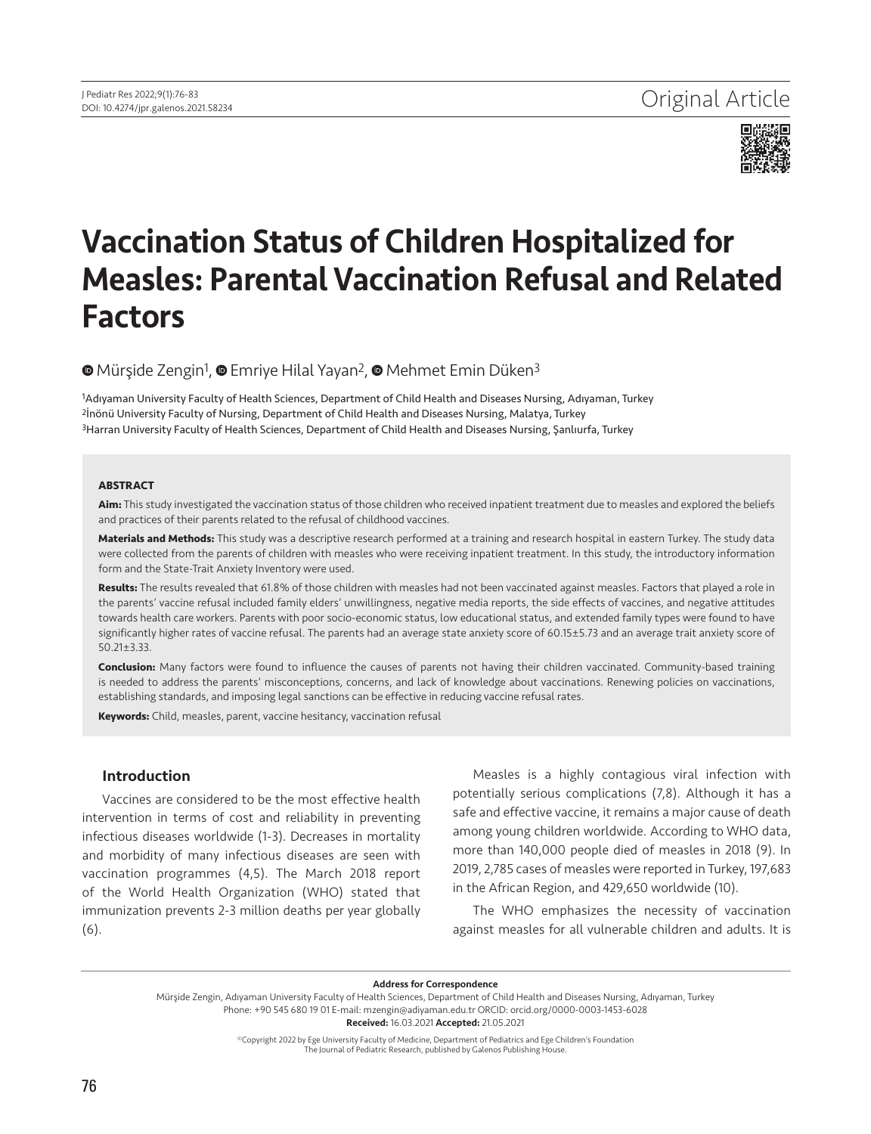

# Vaccination Status of Children Hospitalized for Measles: Parental Vaccination Refusal and Related Factors

# <sup>■</sup>Mürşide Zengin<sup>1</sup>, ■ Emriye Hilal Yayan<sup>2</sup>, ■ Mehmet Emin Düken<sup>3</sup>

1Adıyaman University Faculty of Health Sciences, Department of Child Health and Diseases Nursing, Adıyaman, Turkey 2İnönü University Faculty of Nursing, Department of Child Health and Diseases Nursing, Malatya, Turkey 3Harran University Faculty of Health Sciences, Department of Child Health and Diseases Nursing, Şanlıurfa, Turkey

#### **ABSTRACT**

**Aim:** This study investigated the vaccination status of those children who received inpatient treatment due to measles and explored the beliefs and practices of their parents related to the refusal of childhood vaccines.

**Materials and Methods:** This study was a descriptive research performed at a training and research hospital in eastern Turkey. The study data were collected from the parents of children with measles who were receiving inpatient treatment. In this study, the introductory information form and the State-Trait Anxiety Inventory were used.

**Results:** The results revealed that 61.8% of those children with measles had not been vaccinated against measles. Factors that played a role in the parents' vaccine refusal included family elders' unwillingness, negative media reports, the side effects of vaccines, and negative attitudes towards health care workers. Parents with poor socio-economic status, low educational status, and extended family types were found to have significantly higher rates of vaccine refusal. The parents had an average state anxiety score of 60.15±5.73 and an average trait anxiety score of 50.21±3.33.

**Conclusion:** Many factors were found to influence the causes of parents not having their children vaccinated. Community-based training is needed to address the parents' misconceptions, concerns, and lack of knowledge about vaccinations. Renewing policies on vaccinations, establishing standards, and imposing legal sanctions can be effective in reducing vaccine refusal rates.

**Keywords:** Child, measles, parent, vaccine hesitancy, vaccination refusal

# Introduction

Vaccines are considered to be the most effective health intervention in terms of cost and reliability in preventing infectious diseases worldwide (1-3). Decreases in mortality and morbidity of many infectious diseases are seen with vaccination programmes (4,5). The March 2018 report of the World Health Organization (WHO) stated that immunization prevents 2-3 million deaths per year globally (6).

Measles is a highly contagious viral infection with potentially serious complications (7,8). Although it has a safe and effective vaccine, it remains a major cause of death among young children worldwide. According to WHO data, more than 140,000 people died of measles in 2018 (9). In 2019, 2,785 cases of measles were reported in Turkey, 197,683 in the African Region, and 429,650 worldwide (10).

The WHO emphasizes the necessity of vaccination against measles for all vulnerable children and adults. It is

Address for Correspondence

©Copyright 2022 by Ege University Faculty of Medicine, Department of Pediatrics and Ege Children's Foundation The Journal of Pediatric Research, published by Galenos Publishing House.

Mürşide Zengin, Adıyaman University Faculty of Health Sciences, Department of Child Health and Diseases Nursing, Adıyaman, Turkey Phone: +90 545 680 19 01 E-mail: mzengin@adiyaman.edu.tr ORCID: orcid.org/0000-0003-1453-6028 Received: 16.03.2021 Accepted: 21.05.2021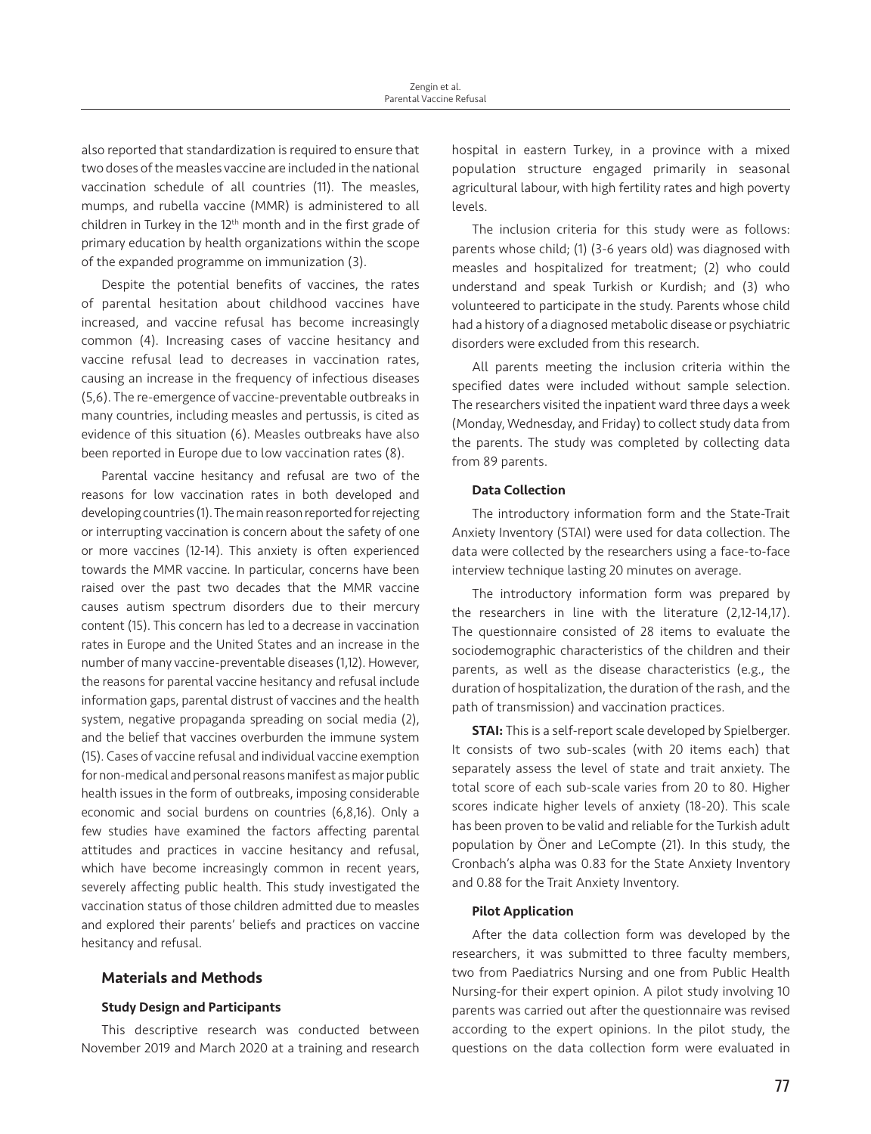also reported that standardization is required to ensure that two doses of the measles vaccine are included in the national vaccination schedule of all countries (11). The measles, mumps, and rubella vaccine (MMR) is administered to all children in Turkey in the 12<sup>th</sup> month and in the first grade of primary education by health organizations within the scope of the expanded programme on immunization (3).

Despite the potential benefits of vaccines, the rates of parental hesitation about childhood vaccines have increased, and vaccine refusal has become increasingly common (4). Increasing cases of vaccine hesitancy and vaccine refusal lead to decreases in vaccination rates, causing an increase in the frequency of infectious diseases (5,6). The re-emergence of vaccine-preventable outbreaks in many countries, including measles and pertussis, is cited as evidence of this situation (6). Measles outbreaks have also been reported in Europe due to low vaccination rates (8).

Parental vaccine hesitancy and refusal are two of the reasons for low vaccination rates in both developed and developing countries (1). The main reason reported for rejecting or interrupting vaccination is concern about the safety of one or more vaccines (12-14). This anxiety is often experienced towards the MMR vaccine. In particular, concerns have been raised over the past two decades that the MMR vaccine causes autism spectrum disorders due to their mercury content (15). This concern has led to a decrease in vaccination rates in Europe and the United States and an increase in the number of many vaccine-preventable diseases (1,12). However, the reasons for parental vaccine hesitancy and refusal include information gaps, parental distrust of vaccines and the health system, negative propaganda spreading on social media (2), and the belief that vaccines overburden the immune system (15). Cases of vaccine refusal and individual vaccine exemption for non-medical and personal reasons manifest as major public health issues in the form of outbreaks, imposing considerable economic and social burdens on countries (6,8,16). Only a few studies have examined the factors affecting parental attitudes and practices in vaccine hesitancy and refusal, which have become increasingly common in recent years, severely affecting public health. This study investigated the vaccination status of those children admitted due to measles and explored their parents' beliefs and practices on vaccine hesitancy and refusal.

# Materials and Methods

#### Study Design and Participants

This descriptive research was conducted between November 2019 and March 2020 at a training and research hospital in eastern Turkey, in a province with a mixed population structure engaged primarily in seasonal agricultural labour, with high fertility rates and high poverty levels.

The inclusion criteria for this study were as follows: parents whose child; (1) (3-6 years old) was diagnosed with measles and hospitalized for treatment; (2) who could understand and speak Turkish or Kurdish; and (3) who volunteered to participate in the study. Parents whose child had a history of a diagnosed metabolic disease or psychiatric disorders were excluded from this research.

All parents meeting the inclusion criteria within the specified dates were included without sample selection. The researchers visited the inpatient ward three days a week (Monday, Wednesday, and Friday) to collect study data from the parents. The study was completed by collecting data from 89 parents.

#### Data Collection

The introductory information form and the State-Trait Anxiety Inventory (STAI) were used for data collection. The data were collected by the researchers using a face-to-face interview technique lasting 20 minutes on average.

The introductory information form was prepared by the researchers in line with the literature (2,12-14,17). The questionnaire consisted of 28 items to evaluate the sociodemographic characteristics of the children and their parents, as well as the disease characteristics (e.g., the duration of hospitalization, the duration of the rash, and the path of transmission) and vaccination practices.

**STAI:** This is a self-report scale developed by Spielberger. It consists of two sub-scales (with 20 items each) that separately assess the level of state and trait anxiety. The total score of each sub-scale varies from 20 to 80. Higher scores indicate higher levels of anxiety (18-20). This scale has been proven to be valid and reliable for the Turkish adult population by Öner and LeCompte (21). In this study, the Cronbach's alpha was 0.83 for the State Anxiety Inventory and 0.88 for the Trait Anxiety Inventory.

#### Pilot Application

After the data collection form was developed by the researchers, it was submitted to three faculty members, two from Paediatrics Nursing and one from Public Health Nursing-for their expert opinion. A pilot study involving 10 parents was carried out after the questionnaire was revised according to the expert opinions. In the pilot study, the questions on the data collection form were evaluated in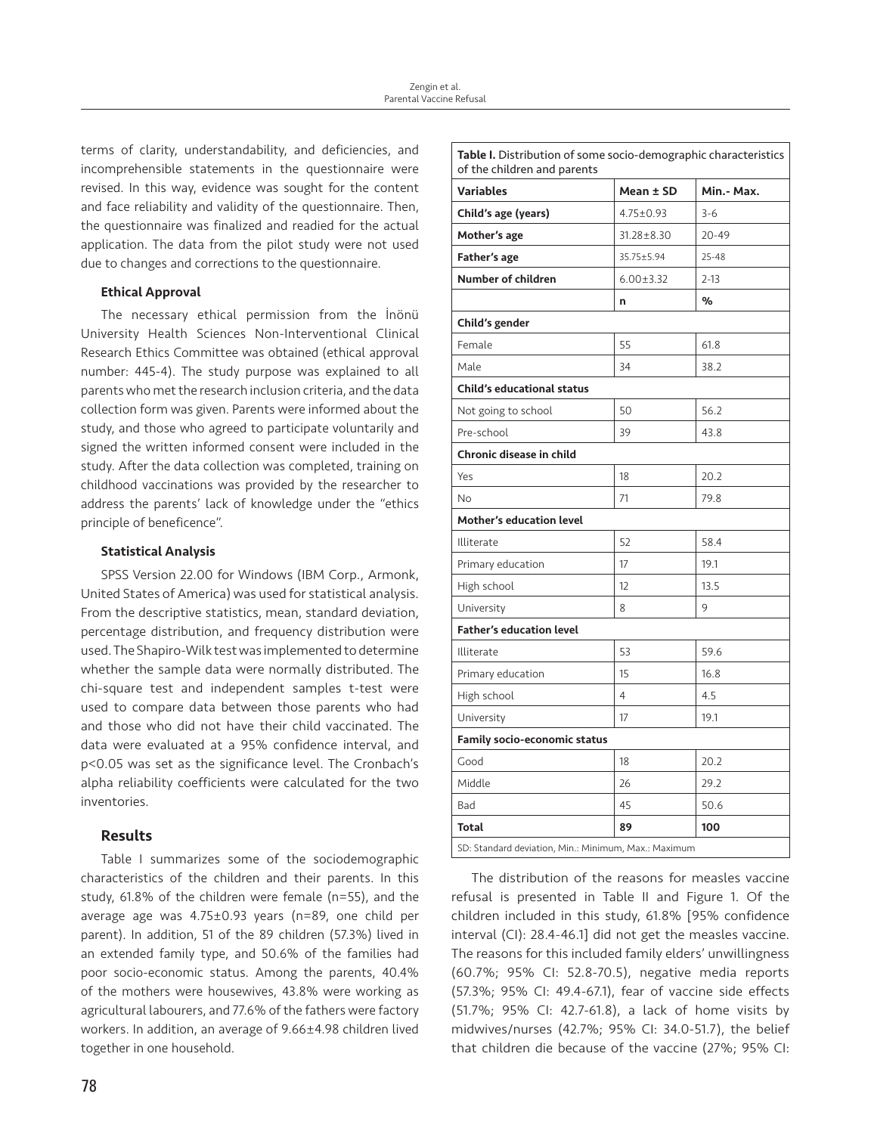terms of clarity, understandability, and deficiencies, and incomprehensible statements in the questionnaire were revised. In this way, evidence was sought for the content and face reliability and validity of the questionnaire. Then, the questionnaire was finalized and readied for the actual application. The data from the pilot study were not used due to changes and corrections to the questionnaire.

# Ethical Approval

The necessary ethical permission from the İnönü University Health Sciences Non-Interventional Clinical Research Ethics Committee was obtained (ethical approval number: 445-4). The study purpose was explained to all parents who met the research inclusion criteria, and the data collection form was given. Parents were informed about the study, and those who agreed to participate voluntarily and signed the written informed consent were included in the study. After the data collection was completed, training on childhood vaccinations was provided by the researcher to address the parents' lack of knowledge under the "ethics principle of beneficence".

#### Statistical Analysis

SPSS Version 22.00 for Windows (IBM Corp., Armonk, United States of America) was used for statistical analysis. From the descriptive statistics, mean, standard deviation, percentage distribution, and frequency distribution were used. The Shapiro-Wilk test was implemented to determine whether the sample data were normally distributed. The chi-square test and independent samples t-test were used to compare data between those parents who had and those who did not have their child vaccinated. The data were evaluated at a 95% confidence interval, and p<0.05 was set as the significance level. The Cronbach's alpha reliability coefficients were calculated for the two inventories.

# Results

Table I summarizes some of the sociodemographic characteristics of the children and their parents. In this study, 61.8% of the children were female (n=55), and the average age was 4.75±0.93 years (n=89, one child per parent). In addition, 51 of the 89 children (57.3%) lived in an extended family type, and 50.6% of the families had poor socio-economic status. Among the parents, 40.4% of the mothers were housewives, 43.8% were working as agricultural labourers, and 77.6% of the fathers were factory workers. In addition, an average of 9.66±4.98 children lived together in one household.

| Table I. Distribution of some socio-demographic characteristics<br>of the children and parents |                 |            |  |  |
|------------------------------------------------------------------------------------------------|-----------------|------------|--|--|
| <b>Variables</b>                                                                               | Mean ± SD       | Min.- Max. |  |  |
| Child's age (years)                                                                            | $4.75 \pm 0.93$ | $3 - 6$    |  |  |
| Mother's age                                                                                   | 31.28±8.30      | 20-49      |  |  |
| <b>Father's age</b>                                                                            | 35.75±5.94      | $25 - 48$  |  |  |
| Number of children                                                                             | $6.00 \pm 3.32$ | $2 - 13$   |  |  |
|                                                                                                | n               | %          |  |  |
| Child's gender                                                                                 |                 |            |  |  |
| Female                                                                                         | 55              | 61.8       |  |  |
| Male                                                                                           | 34              | 38.2       |  |  |
| <b>Child's educational status</b>                                                              |                 |            |  |  |
| Not going to school                                                                            | 50              | 56.2       |  |  |
| Pre-school                                                                                     | 39              | 43.8       |  |  |
| Chronic disease in child                                                                       |                 |            |  |  |
| Yes                                                                                            | 18              | 20.2       |  |  |
| No                                                                                             | 71              | 79.8       |  |  |
| <b>Mother's education level</b>                                                                |                 |            |  |  |
| Illiterate                                                                                     | 52              | 58.4       |  |  |
| Primary education                                                                              | 17              | 19.1       |  |  |
| High school                                                                                    | 12              | 13.5       |  |  |
| University                                                                                     | 8               | 9          |  |  |
| <b>Father's education level</b>                                                                |                 |            |  |  |
| Illiterate                                                                                     | 53              | 59.6       |  |  |
| Primary education                                                                              | 15              | 16.8       |  |  |
| High school                                                                                    | 4               | 4.5        |  |  |
| University                                                                                     | 17              | 19.1       |  |  |
| Family socio-economic status                                                                   |                 |            |  |  |
| Good                                                                                           | 18              | 20.2       |  |  |
| Middle                                                                                         | 26              | 29.2       |  |  |
| Bad                                                                                            | 45              | 50.6       |  |  |
| <b>Total</b>                                                                                   | 89              | 100        |  |  |
| SD: Standard deviation, Min.: Minimum, Max.: Maximum                                           |                 |            |  |  |

The distribution of the reasons for measles vaccine refusal is presented in Table II and Figure 1. Of the children included in this study, 61.8% [95% confidence interval (CI): 28.4-46.1] did not get the measles vaccine. The reasons for this included family elders' unwillingness (60.7%; 95% CI: 52.8-70.5), negative media reports (57.3%; 95% CI: 49.4-67.1), fear of vaccine side effects (51.7%; 95% CI: 42.7-61.8), a lack of home visits by midwives/nurses (42.7%; 95% CI: 34.0-51.7), the belief that children die because of the vaccine (27%; 95% CI: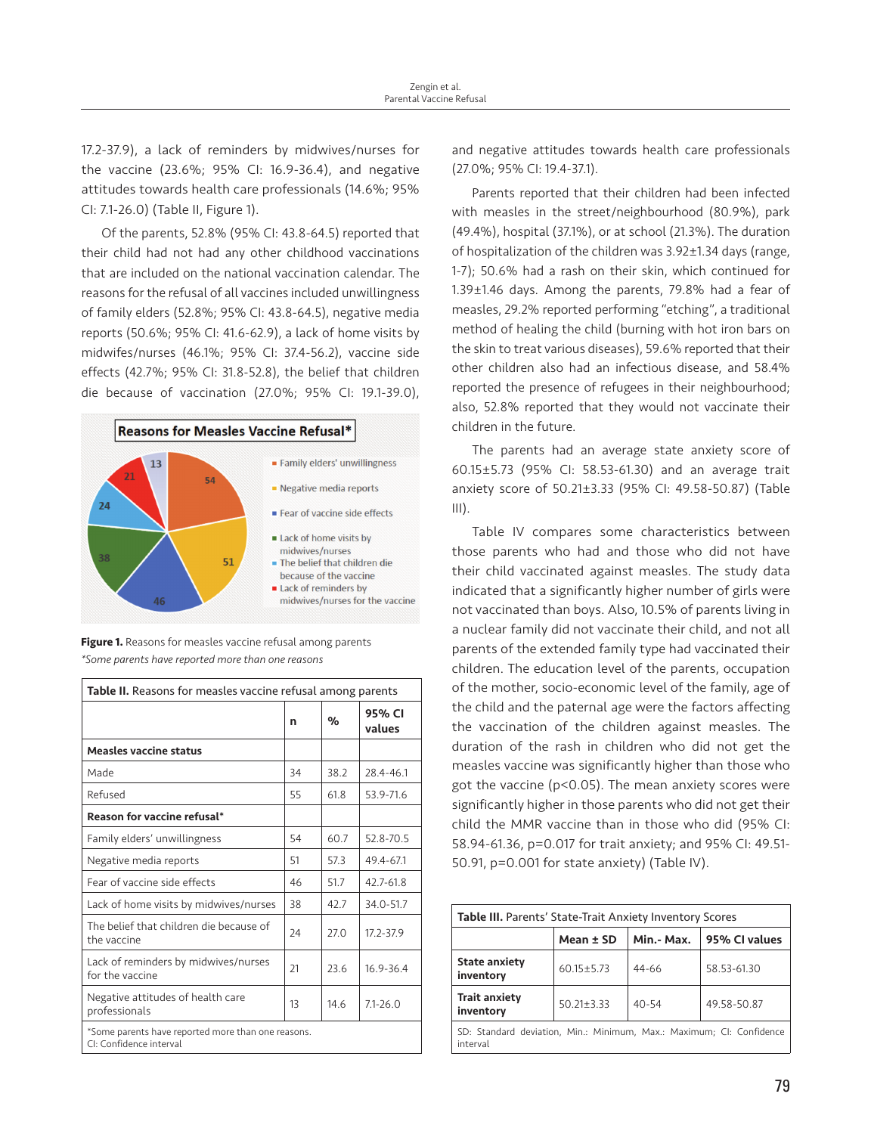17.2-37.9), a lack of reminders by midwives/nurses for the vaccine (23.6%; 95% CI: 16.9-36.4), and negative attitudes towards health care professionals (14.6%; 95% CI: 7.1-26.0) (Table II, Figure 1).

Of the parents, 52.8% (95% CI: 43.8-64.5) reported that their child had not had any other childhood vaccinations that are included on the national vaccination calendar. The reasons for the refusal of all vaccines included unwillingness of family elders (52.8%; 95% CI: 43.8-64.5), negative media reports (50.6%; 95% CI: 41.6-62.9), a lack of home visits by midwifes/nurses (46.1%; 95% CI: 37.4-56.2), vaccine side effects (42.7%; 95% CI: 31.8-52.8), the belief that children die because of vaccination (27.0%; 95% CI: 19.1-39.0),





**Figure 1.** Reasons for measles vaccine refusal among parents *\*Some parents have reported more than one reasons*

| Table II. Reasons for measles vaccine refusal among parents                   |    |      |                  |  |
|-------------------------------------------------------------------------------|----|------|------------------|--|
|                                                                               | n  | %    | 95% CI<br>values |  |
| <b>Measles vaccine status</b>                                                 |    |      |                  |  |
| Made                                                                          | 34 | 38.2 | 28.4-46.1        |  |
| Refused                                                                       | 55 | 61.8 | 53.9-71.6        |  |
| Reason for vaccine refusal*                                                   |    |      |                  |  |
| Family elders' unwillingness                                                  | 54 | 60.7 | 52.8-70.5        |  |
| Negative media reports                                                        | 51 | 57.3 | 49.4-67.1        |  |
| Fear of vaccine side effects                                                  | 46 | 51.7 | 42.7-61.8        |  |
| Lack of home visits by midwives/nurses                                        | 38 | 42.7 | 34.0-51.7        |  |
| The belief that children die because of<br>the vaccine                        | 24 | 27.0 | 17.2-37.9        |  |
| Lack of reminders by midwives/nurses<br>for the vaccine                       | 21 | 23.6 | 16.9-36.4        |  |
| Negative attitudes of health care<br>professionals                            | 13 | 14.6 | $7.1 - 26.0$     |  |
| *Some parents have reported more than one reasons.<br>CI: Confidence interval |    |      |                  |  |

and negative attitudes towards health care professionals (27.0%; 95% CI: 19.4-37.1).

Parents reported that their children had been infected with measles in the street/neighbourhood (80.9%), park (49.4%), hospital (37.1%), or at school (21.3%). The duration of hospitalization of the children was 3.92±1.34 days (range, 1-7); 50.6% had a rash on their skin, which continued for 1.39±1.46 days. Among the parents, 79.8% had a fear of measles, 29.2% reported performing "etching", a traditional method of healing the child (burning with hot iron bars on the skin to treat various diseases), 59.6% reported that their other children also had an infectious disease, and 58.4% reported the presence of refugees in their neighbourhood; also, 52.8% reported that they would not vaccinate their children in the future.

The parents had an average state anxiety score of 60.15±5.73 (95% CI: 58.53-61.30) and an average trait anxiety score of 50.21±3.33 (95% CI: 49.58-50.87) (Table  $III$ ).

Table IV compares some characteristics between those parents who had and those who did not have their child vaccinated against measles. The study data indicated that a significantly higher number of girls were not vaccinated than boys. Also, 10.5% of parents living in a nuclear family did not vaccinate their child, and not all parents of the extended family type had vaccinated their children. The education level of the parents, occupation of the mother, socio-economic level of the family, age of the child and the paternal age were the factors affecting the vaccination of the children against measles. The duration of the rash in children who did not get the measles vaccine was significantly higher than those who got the vaccine (p<0.05). The mean anxiety scores were significantly higher in those parents who did not get their child the MMR vaccine than in those who did (95% CI: 58.94-61.36, p=0.017 for trait anxiety; and 95% CI: 49.51- 50.91, p=0.001 for state anxiety) (Table IV).

| <b>Table III.</b> Parents' State-Trait Anxiety Inventory Scores                  |                  |            |               |  |  |
|----------------------------------------------------------------------------------|------------------|------------|---------------|--|--|
|                                                                                  | Mean $\pm$ SD    | Min.- Max. | 95% CI values |  |  |
| <b>State anxiety</b><br>inventory                                                | $60.15 \pm 5.73$ | 44-66      | 58.53-61.30   |  |  |
| <b>Trait anxiety</b><br>inventory                                                | $50.21 \pm 3.33$ | $40 - 54$  | 49.58-50.87   |  |  |
| SD: Standard deviation, Min.: Minimum, Max.: Maximum; CI: Confidence<br>interval |                  |            |               |  |  |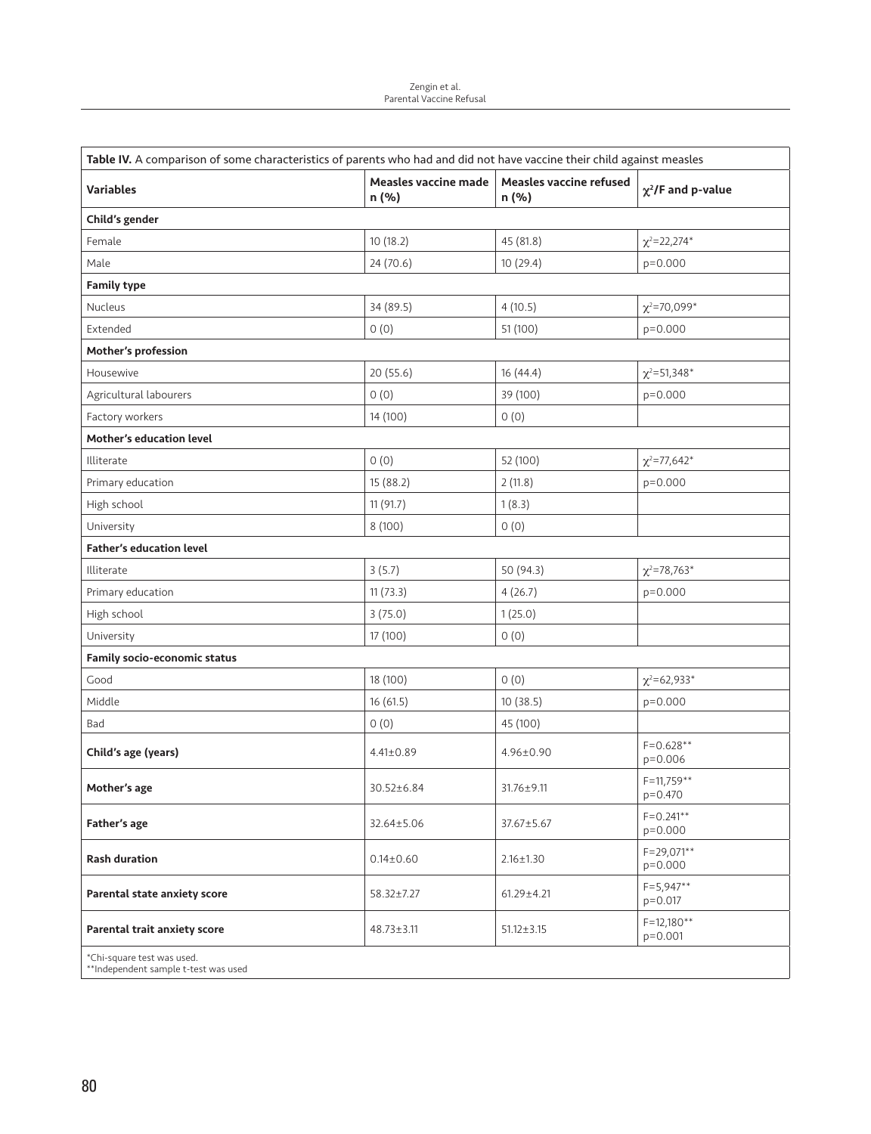| Table IV. A comparison of some characteristics of parents who had and did not have vaccine their child against measles |                               |                                  |                             |  |  |  |  |
|------------------------------------------------------------------------------------------------------------------------|-------------------------------|----------------------------------|-----------------------------|--|--|--|--|
| <b>Variables</b>                                                                                                       | Measles vaccine made<br>n (%) | Measles vaccine refused<br>n (%) | $\chi^2$ /F and p-value     |  |  |  |  |
| Child's gender                                                                                                         |                               |                                  |                             |  |  |  |  |
| Female                                                                                                                 | 10 (18.2)                     | 45 (81.8)                        | $\chi^2$ =22,274*           |  |  |  |  |
| Male                                                                                                                   | 24 (70.6)                     | 10 (29.4)                        | $p=0.000$                   |  |  |  |  |
| <b>Family type</b>                                                                                                     |                               |                                  |                             |  |  |  |  |
| Nucleus                                                                                                                | 34 (89.5)                     | 4(10.5)                          | $\chi^2$ =70,099*           |  |  |  |  |
| Extended                                                                                                               | 0(0)                          | 51 (100)                         | $p=0.000$                   |  |  |  |  |
| Mother's profession                                                                                                    |                               |                                  |                             |  |  |  |  |
| Housewive                                                                                                              | 20(55.6)                      | 16 (44.4)                        | $\chi^2 = 51,348^*$         |  |  |  |  |
| Agricultural labourers                                                                                                 | 0(0)                          | 39 (100)                         | $p=0.000$                   |  |  |  |  |
| Factory workers                                                                                                        | 14 (100)                      | 0(0)                             |                             |  |  |  |  |
| Mother's education level                                                                                               |                               |                                  |                             |  |  |  |  |
| Illiterate                                                                                                             | 0(0)                          | 52 (100)                         | $\chi^2$ =77,642*           |  |  |  |  |
| Primary education                                                                                                      | 15 (88.2)                     | 2(11.8)                          | $p=0.000$                   |  |  |  |  |
| High school                                                                                                            | 11(91.7)                      | 1(8.3)                           |                             |  |  |  |  |
| University                                                                                                             | 8(100)                        | 0(0)                             |                             |  |  |  |  |
| <b>Father's education level</b>                                                                                        |                               |                                  |                             |  |  |  |  |
| Illiterate                                                                                                             | 3(5.7)                        | 50 (94.3)                        | $\chi^2$ =78,763*           |  |  |  |  |
| Primary education                                                                                                      | 11(73.3)                      | 4(26.7)                          | $p=0.000$                   |  |  |  |  |
| High school                                                                                                            | 3(75.0)                       | 1(25.0)                          |                             |  |  |  |  |
| University                                                                                                             | 17 (100)                      | 0(0)                             |                             |  |  |  |  |
| Family socio-economic status                                                                                           |                               |                                  |                             |  |  |  |  |
| Good                                                                                                                   | 18 (100)                      | 0(0)                             | $\chi^2$ =62,933*           |  |  |  |  |
| Middle                                                                                                                 | 16(61.5)                      | 10(38.5)                         | $p=0.000$                   |  |  |  |  |
| Bad                                                                                                                    | O(0)                          | 45 (100)                         |                             |  |  |  |  |
| Child's age (years)                                                                                                    | $4.41 \pm 0.89$               | 4.96±0.90                        | $F = 0.628**$<br>p=0.006    |  |  |  |  |
| Mother's age                                                                                                           | 30.52±6.84                    | $31.76 \pm 9.11$                 | $F = 11,759**$<br>p=0.470   |  |  |  |  |
| Father's age                                                                                                           | 32.64±5.06                    | 37.67±5.67                       | $F = 0.241**$<br>p=0.000    |  |  |  |  |
| <b>Rash duration</b>                                                                                                   | $0.14 \pm 0.60$               | $2.16 \pm 1.30$                  | $F = 29,071**$<br>$p=0.000$ |  |  |  |  |
| Parental state anxiety score                                                                                           | 58.32±7.27                    | $61.29 \pm 4.21$                 | $F = 5,947**$<br>$p=0.017$  |  |  |  |  |
| Parental trait anxiety score                                                                                           | $48.73 \pm 3.11$              | $51.12 \pm 3.15$                 | $F = 12,180**$<br>$p=0.001$ |  |  |  |  |
| *Chi-square test was used.<br>**Independent sample t-test was used                                                     |                               |                                  |                             |  |  |  |  |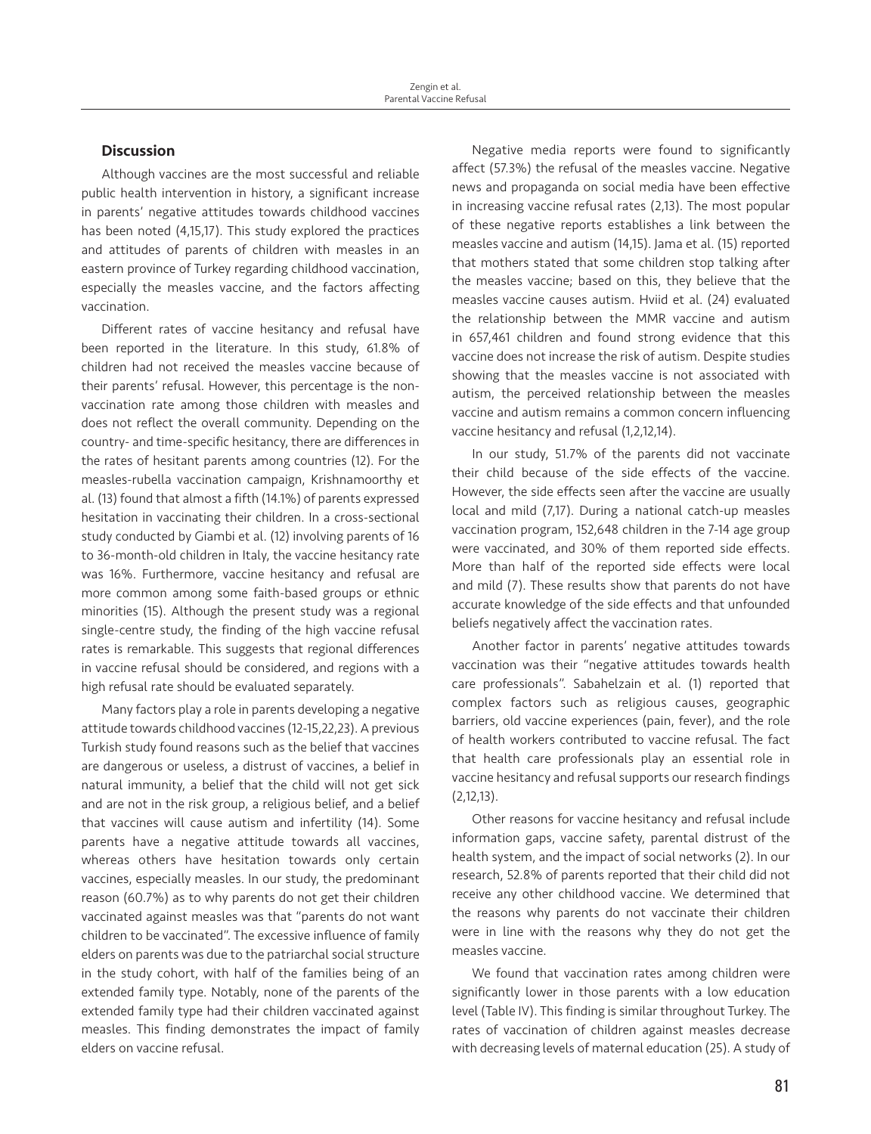# **Discussion**

Although vaccines are the most successful and reliable public health intervention in history, a significant increase in parents' negative attitudes towards childhood vaccines has been noted (4,15,17). This study explored the practices and attitudes of parents of children with measles in an eastern province of Turkey regarding childhood vaccination, especially the measles vaccine, and the factors affecting vaccination.

Different rates of vaccine hesitancy and refusal have been reported in the literature. In this study, 61.8% of children had not received the measles vaccine because of their parents' refusal. However, this percentage is the nonvaccination rate among those children with measles and does not reflect the overall community. Depending on the country- and time-specific hesitancy, there are differences in the rates of hesitant parents among countries (12). For the measles-rubella vaccination campaign, Krishnamoorthy et al. (13) found that almost a fifth (14.1%) of parents expressed hesitation in vaccinating their children. In a cross-sectional study conducted by Giambi et al. (12) involving parents of 16 to 36-month-old children in Italy, the vaccine hesitancy rate was 16%. Furthermore, vaccine hesitancy and refusal are more common among some faith-based groups or ethnic minorities (15). Although the present study was a regional single-centre study, the finding of the high vaccine refusal rates is remarkable. This suggests that regional differences in vaccine refusal should be considered, and regions with a high refusal rate should be evaluated separately.

Many factors play a role in parents developing a negative attitude towards childhood vaccines (12-15,22,23). A previous Turkish study found reasons such as the belief that vaccines are dangerous or useless, a distrust of vaccines, a belief in natural immunity, a belief that the child will not get sick and are not in the risk group, a religious belief, and a belief that vaccines will cause autism and infertility (14). Some parents have a negative attitude towards all vaccines, whereas others have hesitation towards only certain vaccines, especially measles. In our study, the predominant reason (60.7%) as to why parents do not get their children vaccinated against measles was that "parents do not want children to be vaccinated". The excessive influence of family elders on parents was due to the patriarchal social structure in the study cohort, with half of the families being of an extended family type. Notably, none of the parents of the extended family type had their children vaccinated against measles. This finding demonstrates the impact of family elders on vaccine refusal.

Negative media reports were found to significantly affect (57.3%) the refusal of the measles vaccine. Negative news and propaganda on social media have been effective in increasing vaccine refusal rates (2,13). The most popular of these negative reports establishes a link between the measles vaccine and autism (14,15). Jama et al. (15) reported that mothers stated that some children stop talking after the measles vaccine; based on this, they believe that the measles vaccine causes autism. Hviid et al. (24) evaluated the relationship between the MMR vaccine and autism in 657,461 children and found strong evidence that this vaccine does not increase the risk of autism. Despite studies showing that the measles vaccine is not associated with autism, the perceived relationship between the measles vaccine and autism remains a common concern influencing vaccine hesitancy and refusal (1,2,12,14).

In our study, 51.7% of the parents did not vaccinate their child because of the side effects of the vaccine. However, the side effects seen after the vaccine are usually local and mild (7,17). During a national catch-up measles vaccination program, 152,648 children in the 7-14 age group were vaccinated, and 30% of them reported side effects. More than half of the reported side effects were local and mild (7). These results show that parents do not have accurate knowledge of the side effects and that unfounded beliefs negatively affect the vaccination rates.

Another factor in parents' negative attitudes towards vaccination was their "negative attitudes towards health care professionals". Sabahelzain et al. (1) reported that complex factors such as religious causes, geographic barriers, old vaccine experiences (pain, fever), and the role of health workers contributed to vaccine refusal. The fact that health care professionals play an essential role in vaccine hesitancy and refusal supports our research findings (2,12,13).

Other reasons for vaccine hesitancy and refusal include information gaps, vaccine safety, parental distrust of the health system, and the impact of social networks (2). In our research, 52.8% of parents reported that their child did not receive any other childhood vaccine. We determined that the reasons why parents do not vaccinate their children were in line with the reasons why they do not get the measles vaccine.

We found that vaccination rates among children were significantly lower in those parents with a low education level (Table IV). This finding is similar throughout Turkey. The rates of vaccination of children against measles decrease with decreasing levels of maternal education (25). A study of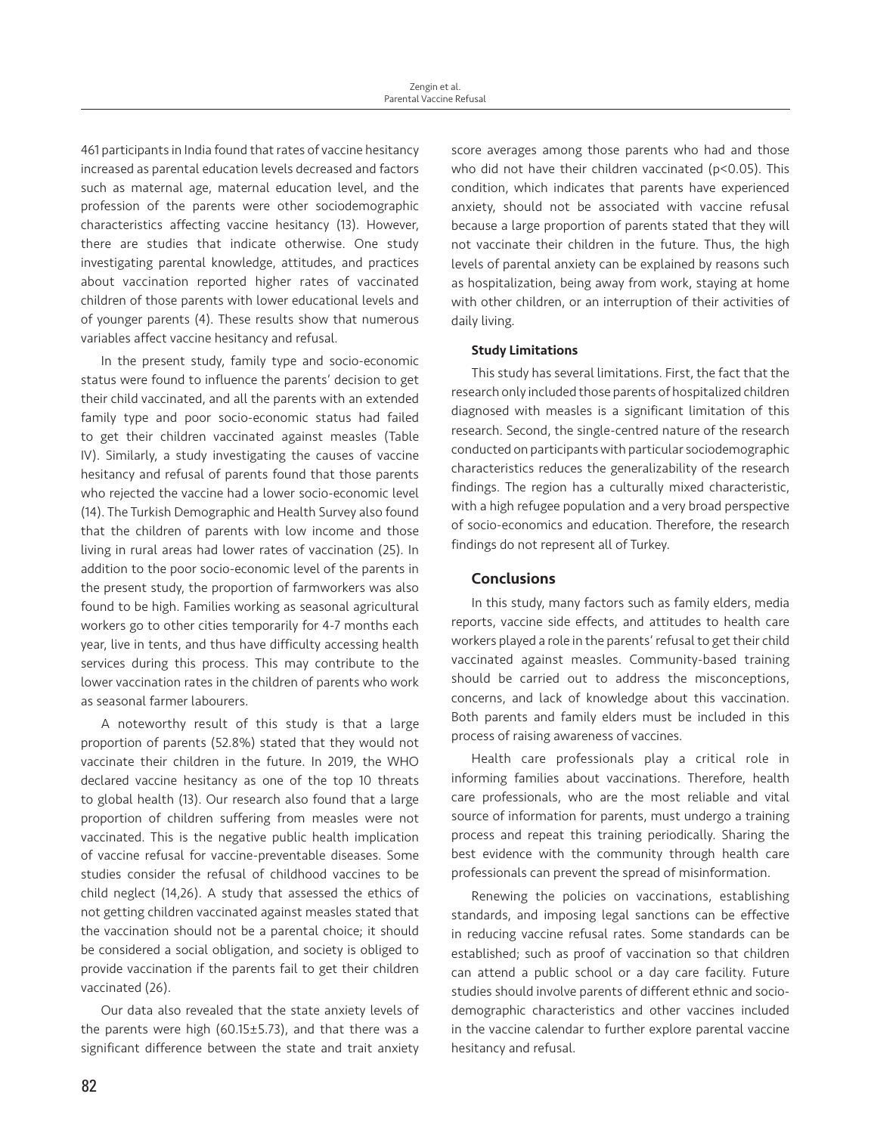461 participants in India found that rates of vaccine hesitancy increased as parental education levels decreased and factors such as maternal age, maternal education level, and the profession of the parents were other sociodemographic characteristics affecting vaccine hesitancy (13). However, there are studies that indicate otherwise. One study investigating parental knowledge, attitudes, and practices about vaccination reported higher rates of vaccinated children of those parents with lower educational levels and of younger parents (4). These results show that numerous variables affect vaccine hesitancy and refusal.

In the present study, family type and socio-economic status were found to influence the parents' decision to get their child vaccinated, and all the parents with an extended family type and poor socio-economic status had failed to get their children vaccinated against measles (Table IV). Similarly, a study investigating the causes of vaccine hesitancy and refusal of parents found that those parents who rejected the vaccine had a lower socio-economic level (14). The Turkish Demographic and Health Survey also found that the children of parents with low income and those living in rural areas had lower rates of vaccination (25). In addition to the poor socio-economic level of the parents in the present study, the proportion of farmworkers was also found to be high. Families working as seasonal agricultural workers go to other cities temporarily for 4-7 months each year, live in tents, and thus have difficulty accessing health services during this process. This may contribute to the lower vaccination rates in the children of parents who work as seasonal farmer labourers.

A noteworthy result of this study is that a large proportion of parents (52.8%) stated that they would not vaccinate their children in the future. In 2019, the WHO declared vaccine hesitancy as one of the top 10 threats to global health (13). Our research also found that a large proportion of children suffering from measles were not vaccinated. This is the negative public health implication of vaccine refusal for vaccine-preventable diseases. Some studies consider the refusal of childhood vaccines to be child neglect (14,26). A study that assessed the ethics of not getting children vaccinated against measles stated that the vaccination should not be a parental choice; it should be considered a social obligation, and society is obliged to provide vaccination if the parents fail to get their children vaccinated (26).

Our data also revealed that the state anxiety levels of the parents were high (60.15±5.73), and that there was a significant difference between the state and trait anxiety score averages among those parents who had and those who did not have their children vaccinated (p<0.05). This condition, which indicates that parents have experienced anxiety, should not be associated with vaccine refusal because a large proportion of parents stated that they will not vaccinate their children in the future. Thus, the high levels of parental anxiety can be explained by reasons such as hospitalization, being away from work, staying at home with other children, or an interruption of their activities of daily living.

### Study Limitations

This study has several limitations. First, the fact that the research only included those parents of hospitalized children diagnosed with measles is a significant limitation of this research. Second, the single-centred nature of the research conducted on participants with particular sociodemographic characteristics reduces the generalizability of the research findings. The region has a culturally mixed characteristic, with a high refugee population and a very broad perspective of socio-economics and education. Therefore, the research findings do not represent all of Turkey.

# **Conclusions**

In this study, many factors such as family elders, media reports, vaccine side effects, and attitudes to health care workers played a role in the parents' refusal to get their child vaccinated against measles. Community-based training should be carried out to address the misconceptions, concerns, and lack of knowledge about this vaccination. Both parents and family elders must be included in this process of raising awareness of vaccines.

Health care professionals play a critical role in informing families about vaccinations. Therefore, health care professionals, who are the most reliable and vital source of information for parents, must undergo a training process and repeat this training periodically. Sharing the best evidence with the community through health care professionals can prevent the spread of misinformation.

Renewing the policies on vaccinations, establishing standards, and imposing legal sanctions can be effective in reducing vaccine refusal rates. Some standards can be established; such as proof of vaccination so that children can attend a public school or a day care facility. Future studies should involve parents of different ethnic and sociodemographic characteristics and other vaccines included in the vaccine calendar to further explore parental vaccine hesitancy and refusal.